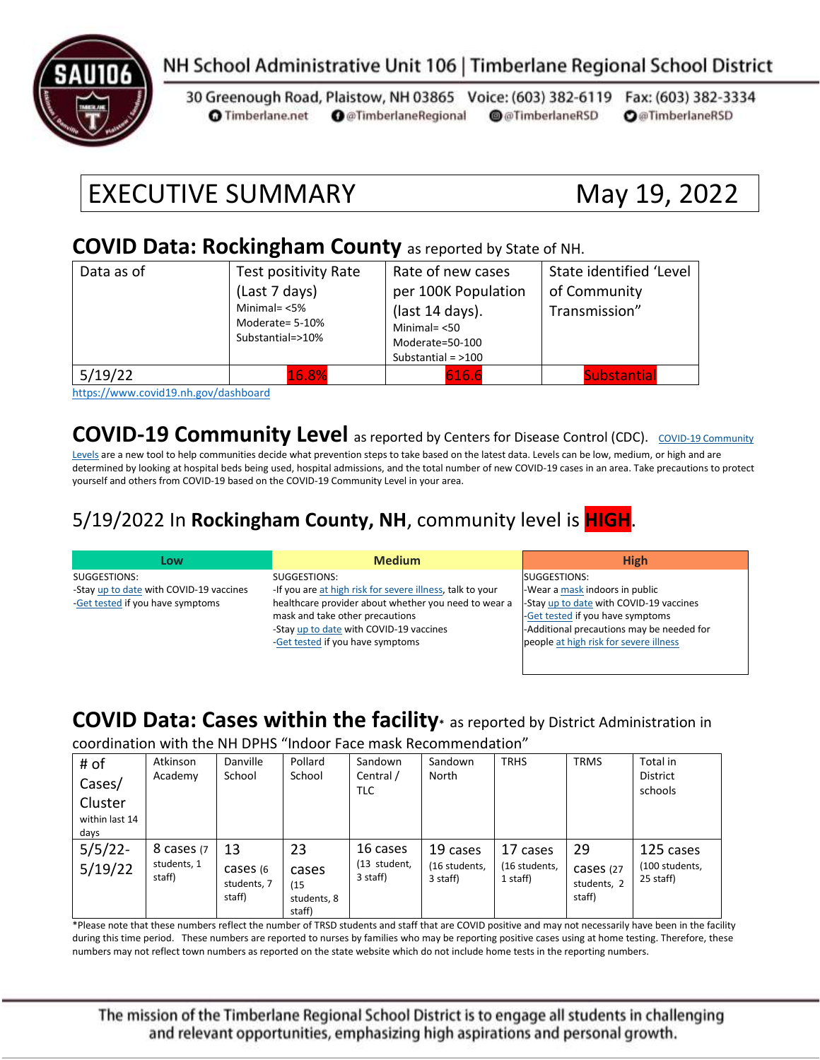

### NH School Administrative Unit 106 | Timberlane Regional School District

30 Greenough Road, Plaistow, NH 03865 Voice: (603) 382-6119 Fax: (603) 382-3334 **O** @TimberlaneRegional @@TimberlaneRSD **O**@TimberlaneRSD **O** Timberlane.net

# EXECUTIVE SUMMARY May 19, 2022

#### **COVID Data: Rockingham County** as reported by State of NH.

| Data as of | Test positivity Rate<br>(Last 7 days)<br>Minimal= $<$ 5%<br>Moderate= 5-10%<br>Substantial=>10% | Rate of new cases<br>per 100K Population<br>(last 14 days).<br>Minimal $=$ <50<br>Moderate=50-100<br>Substantial = $>100$ | State identified 'Level<br>of Community<br>Transmission" |
|------------|-------------------------------------------------------------------------------------------------|---------------------------------------------------------------------------------------------------------------------------|----------------------------------------------------------|
| 5/19/22    | 16.8%<br>.                                                                                      | 616.6                                                                                                                     | <b>Substantial</b>                                       |

<https://www.covid19.nh.gov/dashboard>

**[COVID-19 Community](https://www.cdc.gov/coronavirus/2019-ncov/science/community-levels.html) Level** as reported by Centers for Disease Control (CDC). COVID-19 Community

[Levels](https://www.cdc.gov/coronavirus/2019-ncov/science/community-levels.html) are a new tool to help communities decide what prevention steps to take based on the latest data. Levels can be low, medium, or high and are determined by looking at hospital beds being used, hospital admissions, and the total number of new COVID-19 cases in an area. Take precautions to protect yourself and others from COVID-19 based on the COVID-19 Community Level in your area.

#### 5/19/2022 In **Rockingham County, NH**, community level is **HIGH**.

| Low                                     | <b>Medium</b>                                             | <b>High</b>                               |
|-----------------------------------------|-----------------------------------------------------------|-------------------------------------------|
| SUGGESTIONS:                            | SUGGESTIONS:                                              | SUGGESTIONS:                              |
| -Stay up to date with COVID-19 vaccines | -If you are at high risk for severe illness, talk to your | -Wear a mask indoors in public            |
| -Get tested if you have symptoms        | healthcare provider about whether you need to wear a      | -Stay up to date with COVID-19 vaccines   |
|                                         | mask and take other precautions                           | -Get tested if you have symptoms          |
|                                         | -Stay up to date with COVID-19 vaccines                   | -Additional precautions may be needed for |
|                                         | -Get tested if you have symptoms                          | people at high risk for severe illness    |
|                                         |                                                           |                                           |

#### **COVID Data: Cases within the facility\*** as reported by District Administration in

coordination with the NH DPHS "Indoor Face mask Recommendation"

| # of<br>Cases/<br>Cluster<br>within last 14 | Atkinson<br>Academy   | Danville<br>School                 | Pollard<br>School                      | Sandown<br>Central /<br><b>TLC</b> | Sandown<br>North          | <b>TRHS</b>               | <b>TRMS</b>                        | Total in<br><b>District</b><br>schools |
|---------------------------------------------|-----------------------|------------------------------------|----------------------------------------|------------------------------------|---------------------------|---------------------------|------------------------------------|----------------------------------------|
| days                                        |                       |                                    |                                        |                                    |                           |                           |                                    |                                        |
| $5/5/22$ -                                  | 8 cases (7            | 13                                 | 23                                     | 16 cases                           | 19 cases                  | 17 cases                  | 29                                 | 125 cases                              |
| 5/19/22                                     | students, 1<br>staff) | cases (6)<br>students, 7<br>staff) | cases<br>(15)<br>students, 8<br>staff) | (13 student,<br>3 staff)           | (16 students,<br>3 staff) | (16 students,<br>1 staff) | cases (27<br>students, 2<br>staff) | (100 students,<br>25 staff)            |

\*Please note that these numbers reflect the number of TRSD students and staff that are COVID positive and may not necessarily have been in the facility during this time period. These numbers are reported to nurses by families who may be reporting positive cases using at home testing. Therefore, these numbers may not reflect town numbers as reported on the state website which do not include home tests in the reporting numbers.

The mission of the Timberlane Regional School District is to engage all students in challenging and relevant opportunities, emphasizing high aspirations and personal growth.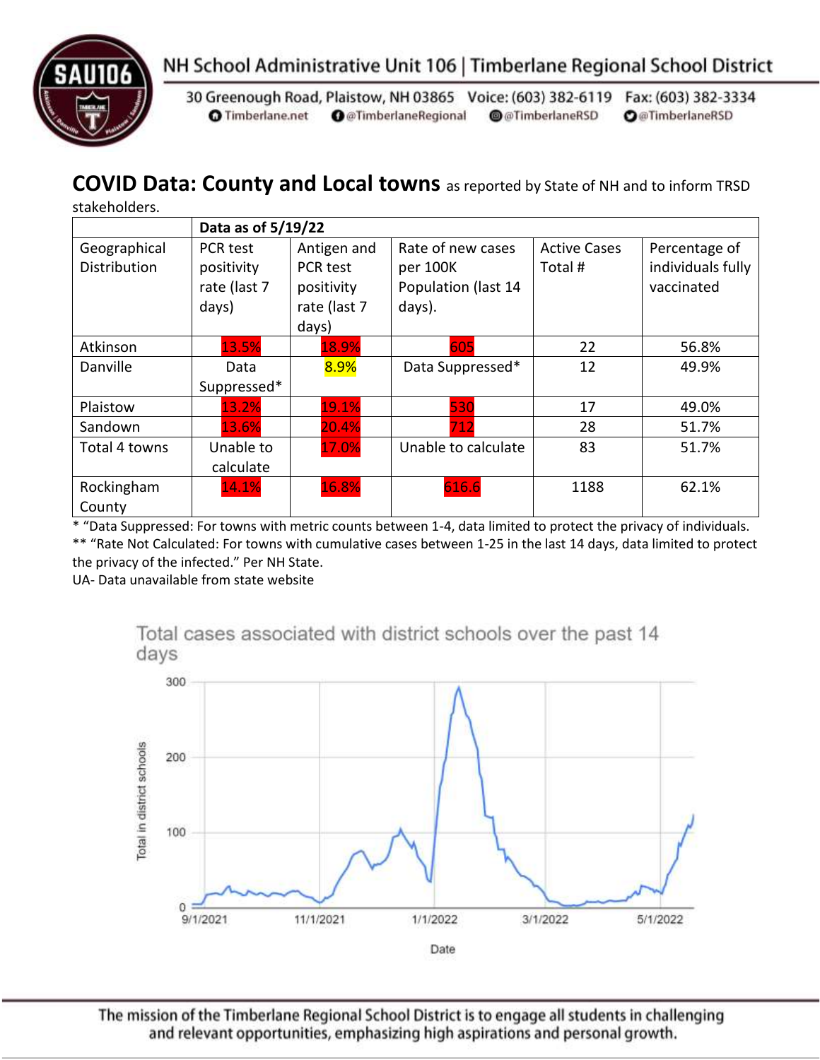



30 Greenough Road, Plaistow, NH 03865 Voice: (603) 382-6119 Fax: (603) 382-3334 **O** Timberlane.net **O** @TimberlaneRegional @@TimberlaneRSD **O**@TimberlaneRSD

### **COVID Data: County and Local towns** as reported by State of NH and to inform TRSD

stakeholders.

|                     | Data as of 5/19/22      |              |                     |                     |                   |  |
|---------------------|-------------------------|--------------|---------------------|---------------------|-------------------|--|
| Geographical        | Antigen and<br>PCR test |              | Rate of new cases   | <b>Active Cases</b> | Percentage of     |  |
| <b>Distribution</b> | positivity              | PCR test     | per 100K            | Total #             | individuals fully |  |
|                     | rate (last 7            | positivity   | Population (last 14 |                     | vaccinated        |  |
|                     | days)                   | rate (last 7 | days).              |                     |                   |  |
|                     |                         | days)        |                     |                     |                   |  |
| Atkinson            | 13.5%                   | 18.9%        | 605                 | 22                  | 56.8%             |  |
| Danville            | Data                    | 8.9%         | Data Suppressed*    | 12                  | 49.9%             |  |
|                     | Suppressed*             |              |                     |                     |                   |  |
| Plaistow            | 13.2%                   | 19.1%        | 530                 | 17                  | 49.0%             |  |
| Sandown             | 13.6%                   | 20.4%        | 712                 | 28                  | 51.7%             |  |
| Total 4 towns       | Unable to               | 17.0%        | Unable to calculate | 83                  | 51.7%             |  |
|                     | calculate               |              |                     |                     |                   |  |
| Rockingham          | 14.1%                   | 16.8%        | 616.6               | 1188                | 62.1%             |  |
| County              |                         |              |                     |                     |                   |  |

\* "Data Suppressed: For towns with metric counts between 1-4, data limited to protect the privacy of individuals. \*\* "Rate Not Calculated: For towns with cumulative cases between 1-25 in the last 14 days, data limited to protect the privacy of the infected." Per NH State.

UA- Data unavailable from state website



Total cases associated with district schools over the past 14 days

The mission of the Timberlane Regional School District is to engage all students in challenging and relevant opportunities, emphasizing high aspirations and personal growth.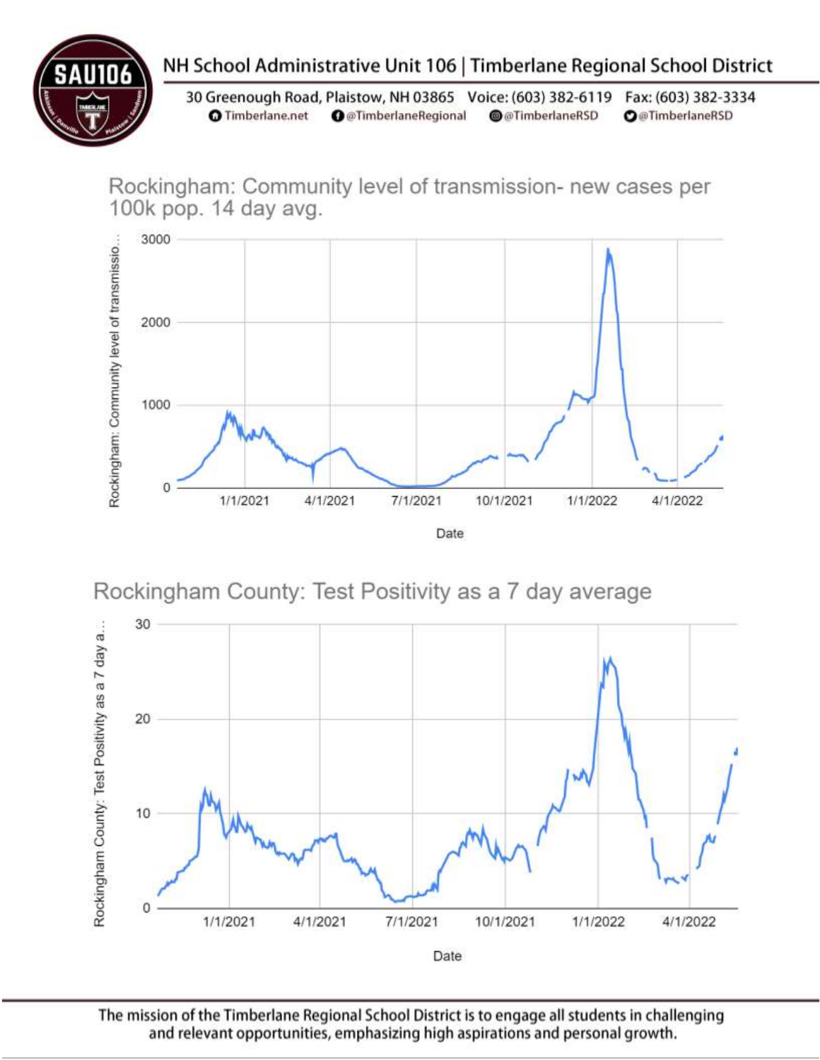## NH School Administrative Unit 106 | Timberlane Regional School District

30 Greenough Road, Plaistow, NH 03865 Voice: (603) 382-6119 Fax: (603) 382-3334 **O** Timberlane.net **O** @TimberlaneRegional @@TimberlaneRSD **O**@TimberlaneRSD

Rockingham: Community level of transmission- new cases per 100k pop. 14 day avg.



Rockingham County: Test Positivity as a 7 day average



The mission of the Timberlane Regional School District is to engage all students in challenging and relevant opportunities, emphasizing high aspirations and personal growth.